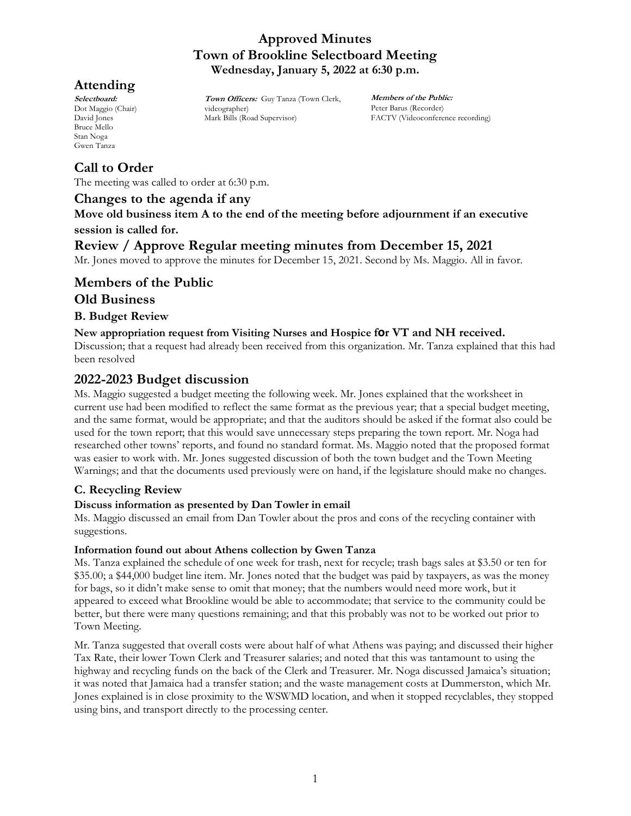# **Attending**

**Selectboard:** Dot Maggio (Chair) David Jones Bruce Mello Stan Noga Gwen Tanza

# **Call to Order**

The meeting was called to order at 6:30 p.m.

## **Changes to the agenda if any**

**Move old business item A to the end of the meeting before adjournment if an executive session is called for.**

# **Review / Approve Regular meeting minutes from December 15, 2021**

**Town Officers:** Guy Tanza (Town Clerk,

videographer)

Mark Bills (Road Supervisor)

Mr. Jones moved to approve the minutes for December 15, 2021. Second by Ms. Maggio. All in favor.

# **Members of the Public Old Business**

## **B. Budget Review**

## **New appropriation request from Visiting Nurses and Hospice for VT and NH received.**

Discussion; that a request had already been received from this organization. Mr. Tanza explained that this had been resolved

# **2022-2023 Budget discussion**

Ms. Maggio suggested a budget meeting the following week. Mr. Jones explained that the worksheet in current use had been modified to reflect the same format as the previous year; that a special budget meeting, and the same format, would be appropriate; and that the auditors should be asked if the format also could be used for the town report; that this would save unnecessary steps preparing the town report. Mr. Noga had researched other towns' reports, and found no standard format. Ms. Maggio noted that the proposed format was easier to work with. Mr. Jones suggested discussion of both the town budget and the Town Meeting Warnings; and that the documents used previously were on hand, if the legislature should make no changes.

## **C. Recycling Review**

## **Discuss information as presented by Dan Towler in email**

Ms. Maggio discussed an email from Dan Towler about the pros and cons of the recycling container with suggestions.

#### **Information found out about Athens collection by Gwen Tanza**

Ms. Tanza explained the schedule of one week for trash, next for recycle; trash bags sales at \$3.50 or ten for \$35.00; a \$44,000 budget line item. Mr. Jones noted that the budget was paid by taxpayers, as was the money for bags, so it didn't make sense to omit that money; that the numbers would need more work, but it appeared to exceed what Brookline would be able to accommodate; that service to the community could be better, but there were many questions remaining; and that this probably was not to be worked out prior to Town Meeting.

Mr. Tanza suggested that overall costs were about half of what Athens was paying; and discussed their higher Tax Rate, their lower Town Clerk and Treasurer salaries; and noted that this was tantamount to using the highway and recycling funds on the back of the Clerk and Treasurer. Mr. Noga discussed Jamaica's situation; it was noted that Jamaica had a transfer station; and the waste management costs at Dummerston, which Mr. Jones explained is in close proximity to the WSWMD location, and when it stopped recyclables, they stopped using bins, and transport directly to the processing center.

**Members of the Public:** Peter Barus (Recorder) FACTV (Videoconference recording)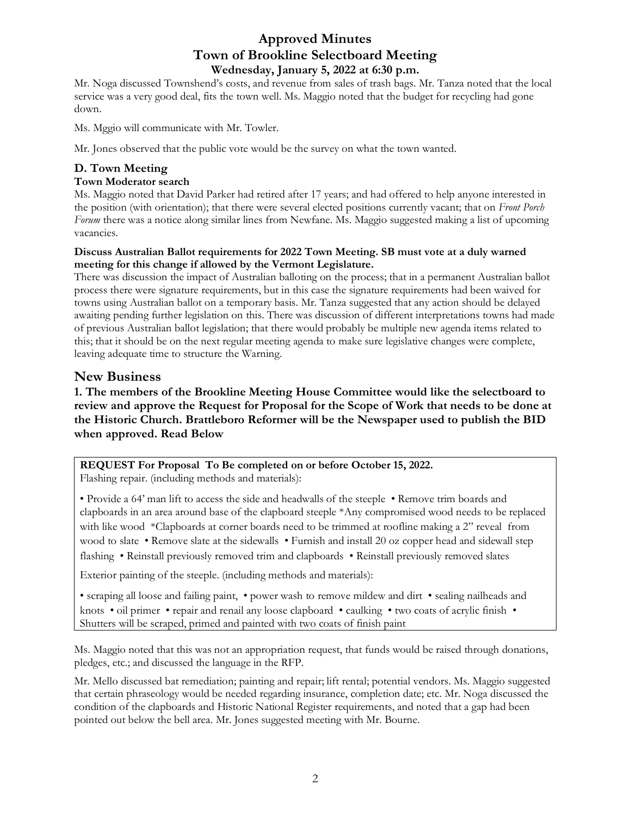Mr. Noga discussed Townshend's costs, and revenue from sales of trash bags. Mr. Tanza noted that the local service was a very good deal, fits the town well. Ms. Maggio noted that the budget for recycling had gone down.

Ms. Mggio will communicate with Mr. Towler.

Mr. Jones observed that the public vote would be the survey on what the town wanted.

## **D. Town Meeting**

#### **Town Moderator search**

Ms. Maggio noted that David Parker had retired after 17 years; and had offered to help anyone interested in the position (with orientation); that there were several elected positions currently vacant; that on *Front Porch Forum* there was a notice along similar lines from Newfane. Ms. Maggio suggested making a list of upcoming vacancies.

#### **Discuss Australian Ballot requirements for 2022 Town Meeting. SB must vote at a duly warned meeting for this change if allowed by the Vermont Legislature.**

There was discussion the impact of Australian balloting on the process; that in a permanent Australian ballot process there were signature requirements, but in this case the signature requirements had been waived for towns using Australian ballot on a temporary basis. Mr. Tanza suggested that any action should be delayed awaiting pending further legislation on this. There was discussion of different interpretations towns had made of previous Australian ballot legislation; that there would probably be multiple new agenda items related to this; that it should be on the next regular meeting agenda to make sure legislative changes were complete, leaving adequate time to structure the Warning.

### **New Business**

## **1. The members of the Brookline Meeting House Committee would like the selectboard to review and approve the Request for Proposal for the Scope of Work that needs to be done at the Historic Church. Brattleboro Reformer will be the Newspaper used to publish the BID when approved. Read Below**

# **REQUEST For Proposal To Be completed on or before October 15, 2022.**

Flashing repair. (including methods and materials):

• Provide a 64' man lift to access the side and headwalls of the steeple • Remove trim boards and clapboards in an area around base of the clapboard steeple \*Any compromised wood needs to be replaced with like wood \*Clapboards at corner boards need to be trimmed at roofline making a 2" reveal from wood to slate • Remove slate at the sidewalls • Furnish and install 20 oz copper head and sidewall step flashing • Reinstall previously removed trim and clapboards • Reinstall previously removed slates

Exterior painting of the steeple. (including methods and materials):

• scraping all loose and failing paint, • power wash to remove mildew and dirt • sealing nailheads and knots • oil primer • repair and renail any loose clapboard • caulking • two coats of acrylic finish • Shutters will be scraped, primed and painted with two coats of finish paint

Ms. Maggio noted that this was not an appropriation request, that funds would be raised through donations, pledges, etc.; and discussed the language in the RFP.

Mr. Mello discussed bat remediation; painting and repair; lift rental; potential vendors. Ms. Maggio suggested that certain phraseology would be needed regarding insurance, completion date; etc. Mr. Noga discussed the condition of the clapboards and Historic National Register requirements, and noted that a gap had been pointed out below the bell area. Mr. Jones suggested meeting with Mr. Bourne.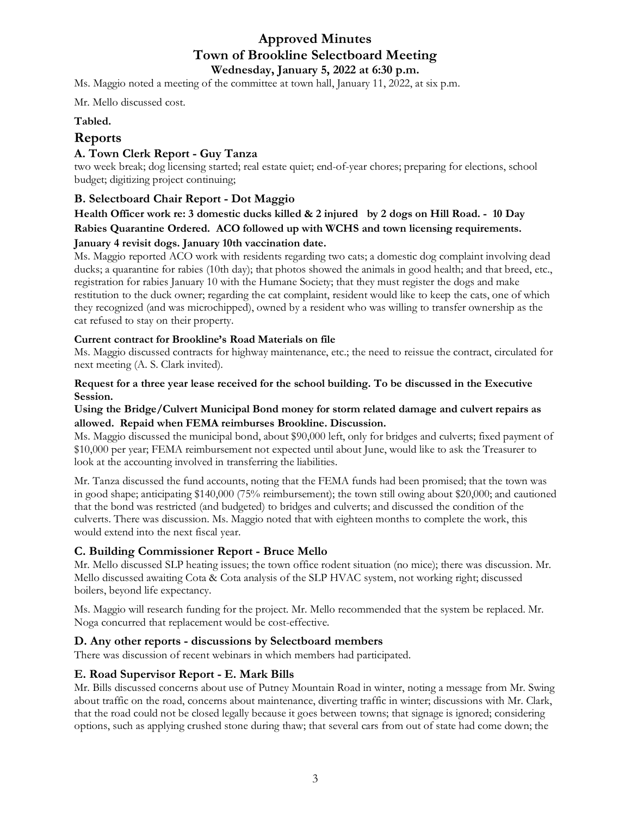Ms. Maggio noted a meeting of the committee at town hall, January 11, 2022, at six p.m.

Mr. Mello discussed cost.

#### **Tabled.**

## **Reports**

#### **A. Town Clerk Report - Guy Tanza**

two week break; dog licensing started; real estate quiet; end-of-year chores; preparing for elections, school budget; digitizing project continuing;

### **B. Selectboard Chair Report - Dot Maggio**

## **Health Officer work re: 3 domestic ducks killed & 2 injured by 2 dogs on Hill Road. - 10 Day Rabies Quarantine Ordered. ACO followed up with WCHS and town licensing requirements. January 4 revisit dogs. January 10th vaccination date.**

Ms. Maggio reported ACO work with residents regarding two cats; a domestic dog complaint involving dead ducks; a quarantine for rabies (10th day); that photos showed the animals in good health; and that breed, etc., registration for rabies January 10 with the Humane Society; that they must register the dogs and make restitution to the duck owner; regarding the cat complaint, resident would like to keep the cats, one of which they recognized (and was microchipped), owned by a resident who was willing to transfer ownership as the cat refused to stay on their property.

#### **Current contract for Brookline's Road Materials on file**

Ms. Maggio discussed contracts for highway maintenance, etc.; the need to reissue the contract, circulated for next meeting (A. S. Clark invited).

#### **Request for a three year lease received for the school building. To be discussed in the Executive Session.**

#### **Using the Bridge/Culvert Municipal Bond money for storm related damage and culvert repairs as allowed. Repaid when FEMA reimburses Brookline. Discussion.**

Ms. Maggio discussed the municipal bond, about \$90,000 left, only for bridges and culverts; fixed payment of \$10,000 per year; FEMA reimbursement not expected until about June, would like to ask the Treasurer to look at the accounting involved in transferring the liabilities.

Mr. Tanza discussed the fund accounts, noting that the FEMA funds had been promised; that the town was in good shape; anticipating \$140,000 (75% reimbursement); the town still owing about \$20,000; and cautioned that the bond was restricted (and budgeted) to bridges and culverts; and discussed the condition of the culverts. There was discussion. Ms. Maggio noted that with eighteen months to complete the work, this would extend into the next fiscal year.

#### **C. Building Commissioner Report - Bruce Mello**

Mr. Mello discussed SLP heating issues; the town office rodent situation (no mice); there was discussion. Mr. Mello discussed awaiting Cota & Cota analysis of the SLP HVAC system, not working right; discussed boilers, beyond life expectancy.

Ms. Maggio will research funding for the project. Mr. Mello recommended that the system be replaced. Mr. Noga concurred that replacement would be cost-effective.

#### **D. Any other reports - discussions by Selectboard members**

There was discussion of recent webinars in which members had participated.

#### **E. Road Supervisor Report - E. Mark Bills**

Mr. Bills discussed concerns about use of Putney Mountain Road in winter, noting a message from Mr. Swing about traffic on the road, concerns about maintenance, diverting traffic in winter; discussions with Mr. Clark, that the road could not be closed legally because it goes between towns; that signage is ignored; considering options, such as applying crushed stone during thaw; that several cars from out of state had come down; the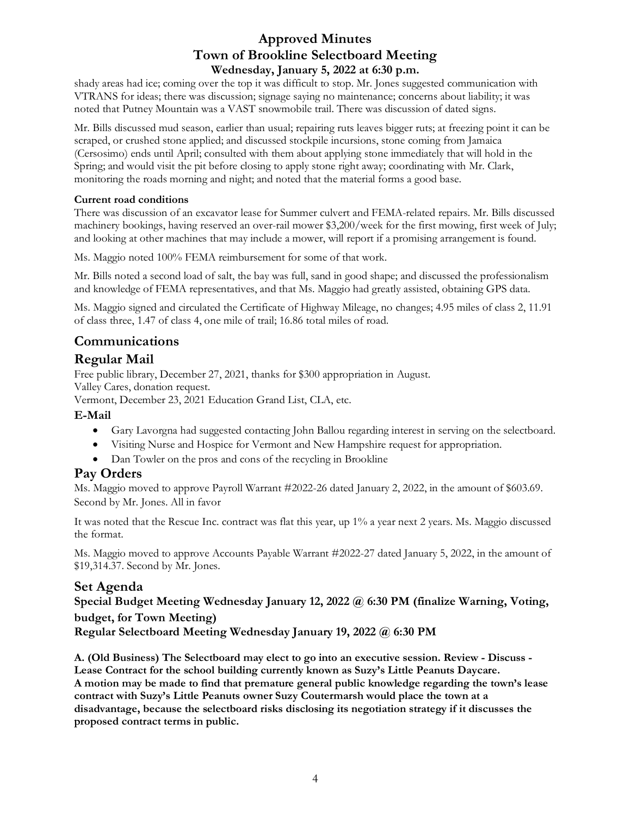shady areas had ice; coming over the top it was difficult to stop. Mr. Jones suggested communication with VTRANS for ideas; there was discussion; signage saying no maintenance; concerns about liability; it was noted that Putney Mountain was a VAST snowmobile trail. There was discussion of dated signs.

Mr. Bills discussed mud season, earlier than usual; repairing ruts leaves bigger ruts; at freezing point it can be scraped, or crushed stone applied; and discussed stockpile incursions, stone coming from Jamaica (Cersosimo) ends until April; consulted with them about applying stone immediately that will hold in the Spring; and would visit the pit before closing to apply stone right away; coordinating with Mr. Clark, monitoring the roads morning and night; and noted that the material forms a good base.

#### **Current road conditions**

There was discussion of an excavator lease for Summer culvert and FEMA-related repairs. Mr. Bills discussed machinery bookings, having reserved an over-rail mower \$3,200/week for the first mowing, first week of July; and looking at other machines that may include a mower, will report if a promising arrangement is found.

Ms. Maggio noted 100% FEMA reimbursement for some of that work.

Mr. Bills noted a second load of salt, the bay was full, sand in good shape; and discussed the professionalism and knowledge of FEMA representatives, and that Ms. Maggio had greatly assisted, obtaining GPS data.

Ms. Maggio signed and circulated the Certificate of Highway Mileage, no changes; 4.95 miles of class 2, 11.91 of class three, 1.47 of class 4, one mile of trail; 16.86 total miles of road.

# **Communications**

# **Regular Mail**

Free public library, December 27, 2021, thanks for \$300 appropriation in August.

Valley Cares, donation request.

Vermont, December 23, 2021 Education Grand List, CLA, etc.

## **E-Mail**

- Gary Lavorgna had suggested contacting John Ballou regarding interest in serving on the selectboard.
- Visiting Nurse and Hospice for Vermont and New Hampshire request for appropriation.
- Dan Towler on the pros and cons of the recycling in Brookline

## **Pay Orders**

Ms. Maggio moved to approve Payroll Warrant #2022-26 dated January 2, 2022, in the amount of \$603.69. Second by Mr. Jones. All in favor

It was noted that the Rescue Inc. contract was flat this year, up 1% a year next 2 years. Ms. Maggio discussed the format.

Ms. Maggio moved to approve Accounts Payable Warrant #2022-27 dated January 5, 2022, in the amount of \$19,314.37. Second by Mr. Jones.

## **Set Agenda**

**Special Budget Meeting Wednesday January 12, 2022 @ 6:30 PM (finalize Warning, Voting, budget, for Town Meeting)**

**Regular Selectboard Meeting Wednesday January 19, 2022 @ 6:30 PM** 

**A. (Old Business) The Selectboard may elect to go into an executive session. Review - Discuss - Lease Contract for the school building currently known as Suzy's Little Peanuts Daycare. A motion may be made to find that premature general public knowledge regarding the town's lease contract with Suzy's Little Peanuts owner Suzy Coutermarsh would place the town at a disadvantage, because the selectboard risks disclosing its negotiation strategy if it discusses the proposed contract terms in public.**